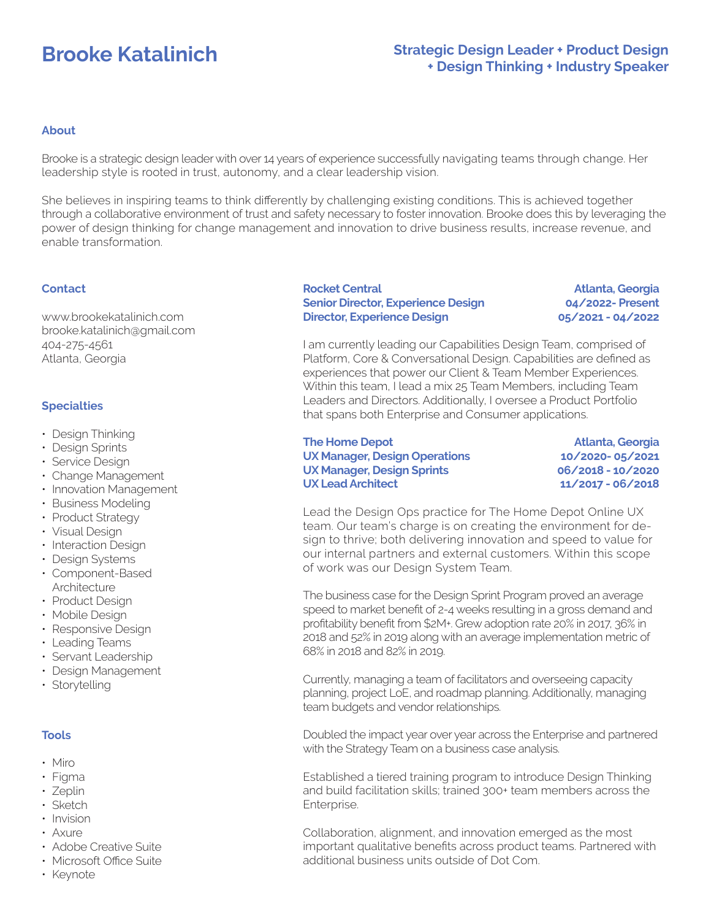# **Brooke Katalinich**

## **Strategic Design Leader + Product Design + Design Thinking + Industry Speaker**

#### **About**

Brooke is a strategic design leader with over 14 years of experience successfully navigating teams through change. Her leadership style is rooted in trust, autonomy, and a clear leadership vision.

She believes in inspiring teams to think differently by challenging existing conditions. This is achieved together through a collaborative environment of trust and safety necessary to foster innovation. Brooke does this by leveraging the power of design thinking for change management and innovation to drive business results, increase revenue, and enable transformation.

#### **Contact**

www.brookekatalinich.com brooke.katalinich@gmail.com 404-275-4561 Atlanta, Georgia

#### **Specialties**

- Design Thinking
- Design Sprints
- Service Design
- Change Management
- Innovation Management
- Business Modeling
- Product Strategy
- Visual Design
- Interaction Design
- Design Systems
- Component-Based Architecture
- Product Design
- Mobile Design
- Responsive Design
- Leading Teams
- Servant Leadership
- Design Management
- Storytelling

## **Tools**

- Miro
- Figma
- Zeplin
- Sketch
- Invision
- Axure
- Adobe Creative Suite
- Microsoft Office Suite
- Keynote

#### **Rocket Central Senior Director, Experience Design Director, Experience Design**

**Atlanta, Georgia 04/2022- Present 05/2021 - 04/2022**

I am currently leading our Capabilities Design Team, comprised of Platform, Core & Conversational Design. Capabilities are defined as experiences that power our Client & Team Member Experiences. Within this team, I lead a mix 25 Team Members, including Team Leaders and Directors. Additionally, I oversee a Product Portfolio that spans both Enterprise and Consumer applications.

**The Home Depot UX Manager, Design Operations UX Manager, Design Sprints UX Lead Architect**

**Atlanta, Georgia 10/2020- 05/2021 06/2018 - 10/2020 11/2017 - 06/2018**

Lead the Design Ops practice for The Home Depot Online UX team. Our team's charge is on creating the environment for design to thrive; both delivering innovation and speed to value for our internal partners and external customers. Within this scope of work was our Design System Team.

The business case for the Design Sprint Program proved an average speed to market benefit of 2-4 weeks resulting in a gross demand and profitability benefit from \$2M+. Grew adoption rate 20% in 2017, 36% in 2018 and 52% in 2019 along with an average implementation metric of 68% in 2018 and 82% in 2019.

Currently, managing a team of facilitators and overseeing capacity planning, project LoE, and roadmap planning. Additionally, managing team budgets and vendor relationships.

Doubled the impact year over year across the Enterprise and partnered with the Strategy Team on a business case analysis.

Established a tiered training program to introduce Design Thinking and build facilitation skills; trained 300+ team members across the Enterprise.

Collaboration, alignment, and innovation emerged as the most important qualitative benefits across product teams. Partnered with additional business units outside of Dot Com.